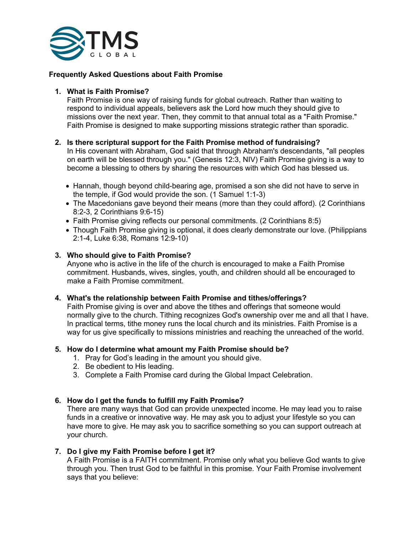

# **Frequently Asked Questions about Faith Promise**

### **1. What is Faith Promise?**

Faith Promise is one way of raising funds for global outreach. Rather than waiting to respond to individual appeals, believers ask the Lord how much they should give to missions over the next year. Then, they commit to that annual total as a "Faith Promise." Faith Promise is designed to make supporting missions strategic rather than sporadic.

# **2. Is there scriptural support for the Faith Promise method of fundraising?**

In His covenant with Abraham, God said that through Abraham's descendants, "all peoples on earth will be blessed through you." (Genesis 12:3, NIV) Faith Promise giving is a way to become a blessing to others by sharing the resources with which God has blessed us.

- Hannah, though beyond child-bearing age, promised a son she did not have to serve in the temple, if God would provide the son. (1 Samuel 1:1-3)
- The Macedonians gave beyond their means (more than they could afford). (2 Corinthians 8:2-3, 2 Corinthians 9:6-15)
- Faith Promise giving reflects our personal commitments. (2 Corinthians 8:5)
- Though Faith Promise giving is optional, it does clearly demonstrate our love. (Philippians 2:1-4, Luke 6:38, Romans 12:9-10)

## **3. Who should give to Faith Promise?**

Anyone who is active in the life of the church is encouraged to make a Faith Promise commitment. Husbands, wives, singles, youth, and children should all be encouraged to make a Faith Promise commitment.

#### **4. What's the relationship between Faith Promise and tithes/offerings?**

Faith Promise giving is over and above the tithes and offerings that someone would normally give to the church. Tithing recognizes God's ownership over me and all that I have. In practical terms, tithe money runs the local church and its ministries. Faith Promise is a way for us give specifically to missions ministries and reaching the unreached of the world.

#### **5. How do I determine what amount my Faith Promise should be?**

- 1. Pray for God's leading in the amount you should give.
- 2. Be obedient to His leading.
- 3. Complete a Faith Promise card during the Global Impact Celebration.

# **6. How do I get the funds to fulfill my Faith Promise?**

There are many ways that God can provide unexpected income. He may lead you to raise funds in a creative or innovative way. He may ask you to adjust your lifestyle so you can have more to give. He may ask you to sacrifice something so you can support outreach at your church.

#### **7. Do I give my Faith Promise before I get it?**

A Faith Promise is a FAITH commitment. Promise only what you believe God wants to give through you. Then trust God to be faithful in this promise. Your Faith Promise involvement says that you believe: